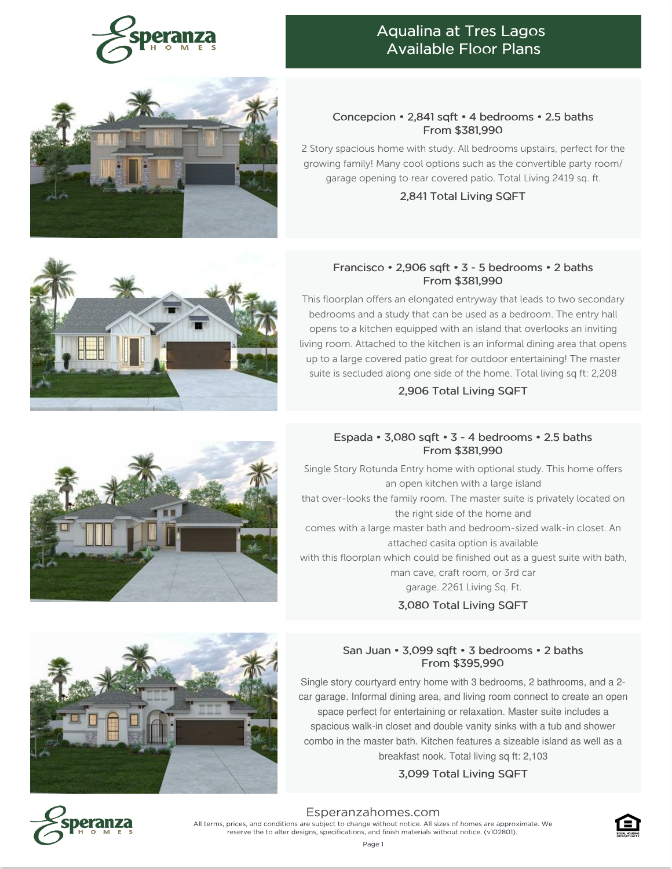

## Aqualina at Tres Lagos Available Floor Plans



#### Concepcion • 2,841 sqft • 4 bedrooms • 2.5 baths From \$381,990

2 Story spacious home with study. All bedrooms upstairs, perfect for the growing family! Many cool options such as the convertible party room/ garage opening to rear covered patio. Total Living 2419 sq. ft.

2,841 Total Living SQFT

#### Francisco • 2,906 sqft • 3 - 5 bedrooms • 2 baths From \$381,990

This floorplan offers an elongated entryway that leads to two secondary bedrooms and a study that can be used as a bedroom. The entry hall opens to a kitchen equipped with an island that overlooks an inviting living room. Attached to the kitchen is an informal dining area that opens up to a large covered patio great for outdoor entertaining! The master suite is secluded along one side of the home. Total living sq ft: 2,208

#### 2,906 Total Living SQFT

### Espada • 3,080 sqft • 3 - 4 bedrooms • 2.5 baths From \$381,990

Single Story Rotunda Entry home with optional study. This home offers an open kitchen with a large island that over-looks the family room. The master suite is privately located on the right side of the home and comes with a large master bath and bedroom-sized walk-in closet. An attached casita option is available with this floorplan which could be finished out as a guest suite with bath, man cave, craft room, or 3rd car garage. 2261 Living Sq. Ft.

3,080 Total Living SQFT

#### San Juan • 3,099 sqft • 3 bedrooms • 2 baths From \$395,990

Single story courtyard entry home with 3 bedrooms, 2 bathrooms, and a 2 car garage. Informal dining area, and living room connect to create an open space perfect for entertaining or relaxation. Master suite includes a spacious walk-in closet and double vanity sinks with a tub and shower combo in the master bath. Kitchen features a sizeable island as well as a breakfast nook. Total living sq ft: 2,103

### 3,099 Total Living SQFT



[Esperanzahomes.com](https://www.esperanzahomes.com) All terms, prices, and conditions are subject to change without notice. All sizes of homes are approximate. We reserve the to alter designs, specifications, and finish materials without notice. (v102801).







Page 1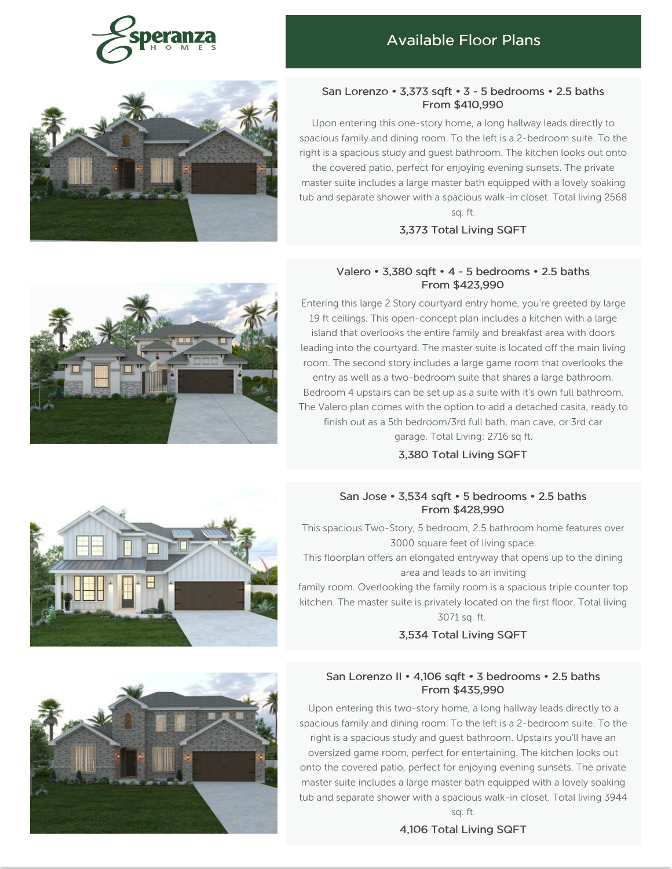

# Available Floor Plans



#### San Lorenzo • 3,373 sqft • 3 - 5 bedrooms • 2.5 baths From \$410,990

Upon entering this one-story home, a long hallway leads directly to spacious family and dining room. To the left is a 2-bedroom suite. To the right is a spacious study and guest bathroom. The kitchen looks out onto the covered patio, perfect for enjoying evening sunsets. The private master suite includes a large master bath equipped with a lovely soaking tub and separate shower with a spacious walk-in closet. Total living 2568 sq. ft.

#### 3,373 Total Living SQFT

#### Valero • 3,380 sqft • 4 - 5 bedrooms • 2.5 baths From \$423,990

Entering this large 2 Story courtyard entry home, you're greeted by large 19 ft ceilings. This open-concept plan includes a kitchen with a large island that overlooks the entire family and breakfast area with doors leading into the courtyard. The master suite is located off the main living room. The second story includes a large game room that overlooks the entry as well as a two-bedroom suite that shares a large bathroom. Bedroom 4 upstairs can be set up as a suite with it's own full bathroom. The Valero plan comes with the option to add a detached casita, ready to finish out as a 5th bedroom/3rd full bath, man cave, or 3rd car garage. Total Living: 2716 sq ft.

3,380 Total Living SQFT

#### San Jose • 3,534 sqft • 5 bedrooms • 2.5 baths From \$428,990

This spacious Two-Story, 5 bedroom, 2.5 bathroom home features over 3000 square feet of living space.

This floorplan offers an elongated entryway that opens up to the dining area and leads to an inviting

family room. Overlooking the family room is a spacious triple counter top kitchen. The master suite is privately located on the first floor. Total living 3071 sq. ft.

#### 3,534 Total Living SQFT

#### San Lorenzo II • 4,106 sqft • 3 bedrooms • 2.5 baths From \$435,990

Upon entering this two-story home, a long hallway leads directly to a spacious family and dining room. To the left is a 2-bedroom suite. To the right is a spacious study and guest bathroom. Upstairs you'll have an oversized game room, perfect for entertaining. The kitchen looks out onto the covered patio, perfect for enjoying evening sunsets. The private master suite includes a large master bath equipped with a lovely soaking tub and separate shower with a spacious walk-in closet. Total living 3944

sq. ft. 4,106 Total Living SQFT



![](_page_1_Picture_18.jpeg)

![](_page_1_Picture_19.jpeg)